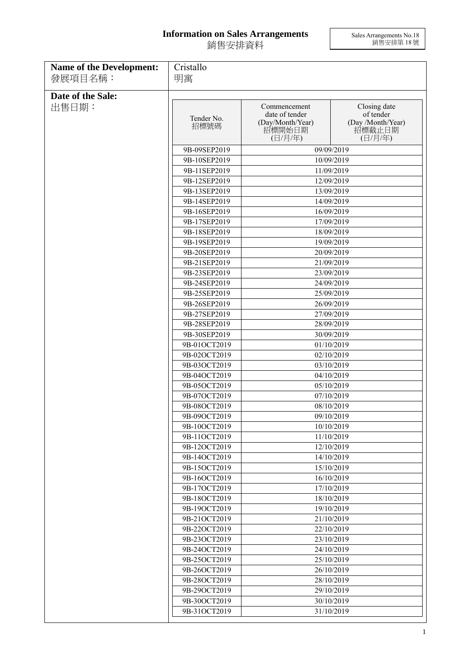## **Information on Sales Arrangements** 銷售安排資料

Sales Arrangements No.18 銷售安排第 18 號

| <b>Name of the Development:</b> | Cristallo                    |                                                                         |                                                                     |  |
|---------------------------------|------------------------------|-------------------------------------------------------------------------|---------------------------------------------------------------------|--|
| 發展項目名稱:                         | 明寓                           |                                                                         |                                                                     |  |
| Date of the Sale:               |                              |                                                                         |                                                                     |  |
| 出售日期:                           | Tender No.<br>招標號碼           | Commencement<br>date of tender<br>(Day/Month/Year)<br>招標開始日期<br>(日/月/年) | Closing date<br>of tender<br>(Day /Month/Year)<br>招標截止日期<br>(日/月/年) |  |
|                                 | 9B-09SEP2019                 | 09/09/2019                                                              |                                                                     |  |
|                                 | 9B-10SEP2019                 |                                                                         | 10/09/2019                                                          |  |
|                                 | 9B-11SEP2019                 |                                                                         | 11/09/2019                                                          |  |
|                                 | 9B-12SEP2019                 |                                                                         | 12/09/2019                                                          |  |
|                                 | 9B-13SEP2019                 |                                                                         | 13/09/2019                                                          |  |
|                                 | 9B-14SEP2019                 |                                                                         | 14/09/2019                                                          |  |
|                                 | 9B-16SEP2019                 | 16/09/2019                                                              |                                                                     |  |
|                                 | 9B-17SEP2019                 |                                                                         | 17/09/2019                                                          |  |
|                                 | 9B-18SEP2019                 |                                                                         | 18/09/2019                                                          |  |
|                                 | 9B-19SEP2019                 |                                                                         | 19/09/2019                                                          |  |
|                                 | 9B-20SEP2019                 |                                                                         | 20/09/2019                                                          |  |
|                                 | 9B-21SEP2019                 |                                                                         | 21/09/2019                                                          |  |
|                                 | 9B-23SEP2019                 |                                                                         | 23/09/2019                                                          |  |
|                                 | 9B-24SEP2019<br>9B-25SEP2019 |                                                                         | 24/09/2019<br>25/09/2019                                            |  |
|                                 | 9B-26SEP2019                 |                                                                         | 26/09/2019                                                          |  |
|                                 | 9B-27SEP2019                 |                                                                         | 27/09/2019                                                          |  |
|                                 | 9B-28SEP2019                 |                                                                         |                                                                     |  |
|                                 | 9B-30SEP2019                 | 28/09/2019<br>30/09/2019                                                |                                                                     |  |
|                                 | 9B-01OCT2019                 |                                                                         | 01/10/2019                                                          |  |
|                                 | 9B-02OCT2019                 |                                                                         | 02/10/2019                                                          |  |
|                                 | 9B-03OCT2019                 |                                                                         | 03/10/2019                                                          |  |
|                                 | 9B-04OCT2019                 |                                                                         | 04/10/2019                                                          |  |
|                                 | 9B-05OCT2019                 |                                                                         | 05/10/2019                                                          |  |
|                                 | 9B-07OCT2019                 |                                                                         | 07/10/2019                                                          |  |
|                                 | 9B-08OCT2019                 |                                                                         | 08/10/2019                                                          |  |
|                                 | 9B-09OCT2019                 |                                                                         | 09/10/2019                                                          |  |
|                                 | 9B-10OCT2019                 |                                                                         | 10/10/2019                                                          |  |
|                                 | 9B-11OCT2019                 |                                                                         | 11/10/2019                                                          |  |
|                                 | 9B-12OCT2019                 |                                                                         | 12/10/2019                                                          |  |
|                                 | 9B-14OCT2019                 |                                                                         | 14/10/2019                                                          |  |
|                                 | 9B-15OCT2019<br>9B-16OCT2019 |                                                                         | 15/10/2019<br>16/10/2019                                            |  |
|                                 | 9B-17OCT2019                 |                                                                         | 17/10/2019                                                          |  |
|                                 | 9B-18OCT2019                 |                                                                         | 18/10/2019                                                          |  |
|                                 | 9B-19OCT2019                 |                                                                         | 19/10/2019                                                          |  |
|                                 | 9B-21OCT2019                 |                                                                         | 21/10/2019                                                          |  |
|                                 | 9B-22OCT2019                 |                                                                         | 22/10/2019                                                          |  |
|                                 | 9B-23OCT2019                 |                                                                         | 23/10/2019                                                          |  |
|                                 | 9B-24OCT2019                 |                                                                         | 24/10/2019                                                          |  |
|                                 | 9B-25OCT2019                 |                                                                         | 25/10/2019                                                          |  |
|                                 | 9B-26OCT2019                 |                                                                         | 26/10/2019                                                          |  |
|                                 | 9B-28OCT2019                 |                                                                         | 28/10/2019                                                          |  |
|                                 | 9B-29OCT2019                 |                                                                         | 29/10/2019                                                          |  |
|                                 | 9B-30OCT2019                 |                                                                         | 30/10/2019                                                          |  |
|                                 | 9B-31OCT2019                 |                                                                         | 31/10/2019                                                          |  |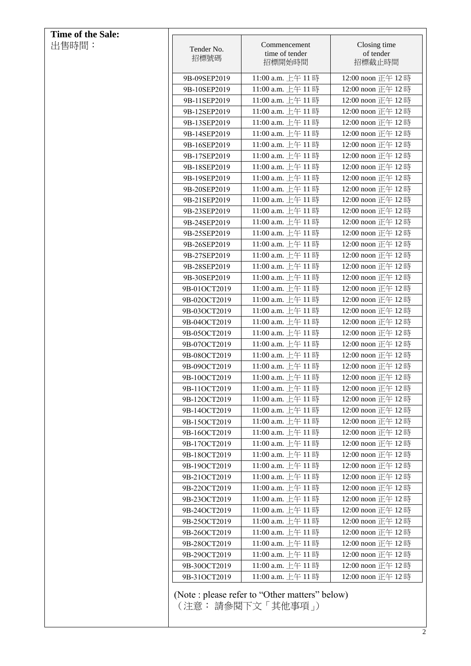| <b>Time of the Sale:</b> |                              |                                                |                                        |
|--------------------------|------------------------------|------------------------------------------------|----------------------------------------|
| 出售時間:                    | Tender No.<br>招標號碼           | Commencement<br>time of tender<br>招標開始時間       | Closing time<br>of tender<br>招標截止時間    |
|                          | 9B-09SEP2019                 | 11:00 a.m. 上午 11時                              | 12:00 noon 正午 12時                      |
|                          | 9B-10SEP2019                 | 11:00 a.m. 上午11時                               | 12:00 noon 正午 12時                      |
|                          | 9B-11SEP2019                 | 11:00 a.m. 上午 11時                              | 12:00 noon 正午 12時                      |
|                          | 9B-12SEP2019                 | 11:00 a.m. 上午11時                               | 12:00 noon 正午 12時                      |
|                          | 9B-13SEP2019                 | 11:00 a.m. 上午 11時                              | 12:00 noon 正午 12時                      |
|                          |                              | 11:00 a.m. 上午11時                               | 12:00 noon 正午 12時                      |
|                          | 9B-14SEP2019                 | 11:00 a.m. 上午 11時                              | 12:00 noon 正午 12時                      |
|                          | 9B-16SEP2019<br>9B-17SEP2019 | 11:00 a.m. 上午 11時                              | 12:00 noon 正午 12時                      |
|                          | 9B-18SEP2019                 | 11:00 a.m. 上午 11時                              | 12:00 noon 正午 12時                      |
|                          | 9B-19SEP2019                 | 11:00 a.m. 上午 11時                              | 12:00 noon 正午 12時                      |
|                          | 9B-20SEP2019                 | 11:00 a.m. 上午 11時                              | 12:00 noon 正午 12時                      |
|                          |                              | 11:00 a.m. 上午11時                               | 12:00 noon 正午 12時                      |
|                          | 9B-21SEP2019                 | 11:00 a.m. 上午 11時                              | 12:00 noon 正午 12時                      |
|                          | 9B-23SEP2019                 | 11:00 a.m. 上午11時                               | 12:00 noon 正午 12時                      |
|                          | 9B-24SEP2019                 |                                                | 12:00 noon 正午 12時                      |
|                          | 9B-25SEP2019                 | 11:00 a.m. 上午 11時                              |                                        |
|                          | 9B-26SEP2019                 | 11:00 a.m. 上午 11時                              | 12:00 noon 正午 12時                      |
|                          | 9B-27SEP2019                 | 11:00 a.m. 上午 11時                              | 12:00 noon 正午 12時                      |
|                          | 9B-28SEP2019                 | 11:00 a.m. 上午 11時                              | 12:00 noon 正午 12時                      |
|                          | 9B-30SEP2019                 | 11:00 a.m. 上午 11時                              | 12:00 noon 正午 12時                      |
|                          | 9B-01OCT2019                 | 11:00 a.m. 上午 11時                              | 12:00 noon 正午 12時                      |
|                          | 9B-02OCT2019                 | 11:00 a.m. 上午 11時                              | 12:00 noon 正午 12時                      |
|                          | 9B-03OCT2019                 | 11:00 a.m. 上午 11時                              | 12:00 noon 正午 12時                      |
|                          | 9B-04OCT2019                 | 11:00 a.m. 上午 11時<br>11:00 a.m. 上午 11時         | 12:00 noon 正午 12時<br>12:00 noon 正午 12時 |
|                          | 9B-05OCT2019<br>9B-07OCT2019 | 11:00 a.m. 上午 11時                              | 12:00 noon 正午 12時                      |
|                          | 9B-08OCT2019                 | 11:00 a.m. 上午11時                               | 12:00 noon 正午 12時                      |
|                          | 9B-09OCT2019                 | 11:00 a.m. 上午 11時                              | 12:00 noon 正午 12時                      |
|                          | 9B-10OCT2019                 | 11:00 a.m. 上午 11時                              | 12:00 noon 正午 12時                      |
|                          | 9B-11OCT2019                 | 11:00 a.m. 上午11時                               | 12:00 noon 正午 12時                      |
|                          | 9B-12OCT2019                 | 11:00 a.m. 上午 11時                              | 12:00 noon 正午 12時                      |
|                          | 9B-14OCT2019                 | 11:00 a.m. 上午 11 時                             | 12:00 noon 正午 12時                      |
|                          | 9B-15OCT2019                 | 11:00 a.m. 上午 11時                              | 12:00 noon 正午 12時                      |
|                          | 9B-16OCT2019                 | 11:00 a.m. 上午 11時                              | 12:00 noon 正午 12時                      |
|                          | 9B-17OCT2019                 | 11:00 a.m. 上午 11時                              | 12:00 noon 正午 12時                      |
|                          | 9B-18OCT2019                 | 11:00 a.m. 上午 11時                              | 12:00 noon 正午 12時                      |
|                          | 9B-19OCT2019                 | 11:00 a.m. 上午 11時                              | 12:00 noon 正午 12時                      |
|                          | 9B-21OCT2019                 | 11:00 a.m. 上午 11時                              | 12:00 noon 正午 12時                      |
|                          | 9B-22OCT2019                 | 11:00 a.m. 上午 11 時                             | 12:00 noon 正午 12時                      |
|                          | 9B-23OCT2019                 | 11:00 a.m. 上午 11時                              | 12:00 noon 正午 12時                      |
|                          | 9B-24OCT2019                 | 11:00 a.m. 上午 11 時                             | 12:00 noon 正午 12時                      |
|                          | 9B-25OCT2019                 | 11:00 a.m. 上午 11 時                             | 12:00 noon 正午 12時                      |
|                          | 9B-26OCT2019                 | 11:00 a.m. 上午 11時                              | 12:00 noon 正午 12時                      |
|                          | 9B-28OCT2019                 | 11:00 a.m. 上午 11 時                             | 12:00 noon 正午 12時                      |
|                          | 9B-29OCT2019                 | 11:00 a.m. 上午 11 時                             | 12:00 noon 正午 12時                      |
|                          | 9B-30OCT2019                 | 11:00 a.m. 上午 11時                              | 12:00 noon 正午 12時                      |
|                          | 9B-31OCT2019                 | 11:00 a.m. 上午 11時                              | 12:00 noon 正午 12時                      |
|                          |                              | (Note : please refer to "Other matters" below) |                                        |
|                          |                              | (注意: 請參閱下文 「其他事項 」)                            |                                        |
|                          |                              |                                                |                                        |
|                          |                              |                                                |                                        |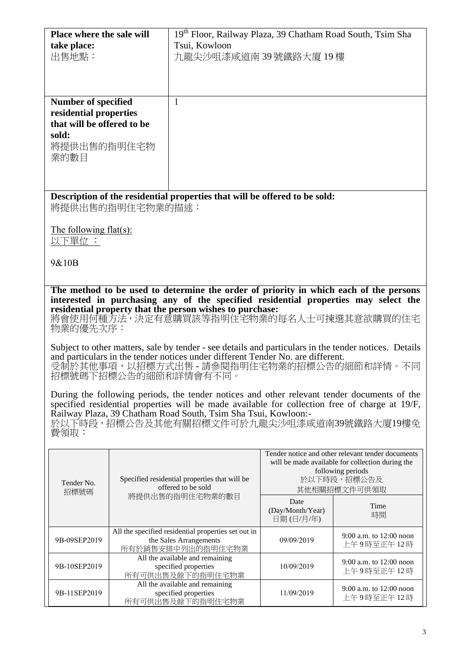| Place where the sale will                                                                                                                                                                | 19th Floor, Railway Plaza, 39 Chatham Road South, Tsim Sha                                            |  |  |
|------------------------------------------------------------------------------------------------------------------------------------------------------------------------------------------|-------------------------------------------------------------------------------------------------------|--|--|
| take place:                                                                                                                                                                              | Tsui, Kowloon                                                                                         |  |  |
| 出售地點:                                                                                                                                                                                    | 九龍尖沙咀漆咸道南 39 號鐵路大廈 19 樓                                                                               |  |  |
|                                                                                                                                                                                          |                                                                                                       |  |  |
|                                                                                                                                                                                          |                                                                                                       |  |  |
| <b>Number of specified</b>                                                                                                                                                               | 1                                                                                                     |  |  |
| residential properties                                                                                                                                                                   |                                                                                                       |  |  |
| that will be offered to be                                                                                                                                                               |                                                                                                       |  |  |
| sold:                                                                                                                                                                                    |                                                                                                       |  |  |
| 將提供出售的指明住宅物                                                                                                                                                                              |                                                                                                       |  |  |
| 業的數目                                                                                                                                                                                     |                                                                                                       |  |  |
|                                                                                                                                                                                          |                                                                                                       |  |  |
|                                                                                                                                                                                          |                                                                                                       |  |  |
| 將提供出售的指明住宅物業的描述:                                                                                                                                                                         | Description of the residential properties that will be offered to be sold:                            |  |  |
|                                                                                                                                                                                          |                                                                                                       |  |  |
| The following $flat(s)$ :                                                                                                                                                                |                                                                                                       |  |  |
| 以下單位 :                                                                                                                                                                                   |                                                                                                       |  |  |
| 9&10B                                                                                                                                                                                    |                                                                                                       |  |  |
|                                                                                                                                                                                          |                                                                                                       |  |  |
|                                                                                                                                                                                          |                                                                                                       |  |  |
| The method to be used to determine the order of priority in which each of the persons<br>interested in purchasing any of the specified residential properties may select the             |                                                                                                       |  |  |
| residential property that the person wishes to purchase:                                                                                                                                 | 將會使用何種方法,決定有意購買該等指明住宅物業的每名人士可揀選其意欲購買的住宅                                                               |  |  |
| 物業的優先次序:                                                                                                                                                                                 |                                                                                                       |  |  |
|                                                                                                                                                                                          |                                                                                                       |  |  |
| Subject to other matters, sale by tender - see details and particulars in the tender notices. Details<br>and particulars in the tender notices under different Tender No. are different. |                                                                                                       |  |  |
| 受制於其他事項,以招標方式出售 - 請參閱指明住宅物業的招標公告的細節和詳情。不同                                                                                                                                                |                                                                                                       |  |  |
| 招標號碼下招標公告的細節和詳情會有不同。                                                                                                                                                                     |                                                                                                       |  |  |
|                                                                                                                                                                                          | During the following periods, the tender notices and other relevant tender documents of the           |  |  |
|                                                                                                                                                                                          | specified residential properties will be made available for collection free of charge at 19/F,        |  |  |
| Railway Plaza, 39 Chatham Road South, Tsim Sha Tsui, Kowloon:-                                                                                                                           |                                                                                                       |  |  |
| 於以下時段,招標公告及其他有關招標文件可於九龍尖沙咀漆咸道南39號鐵路大廈19樓免<br>費領取:                                                                                                                                        |                                                                                                       |  |  |
|                                                                                                                                                                                          |                                                                                                       |  |  |
|                                                                                                                                                                                          | Tender notice and other relevant tender documents<br>will be made available for collection during the |  |  |

| Tender No.<br>招標號碼 | Specified residential properties that will be<br>offered to be sold                                | will be made available for collection during the<br>following periods<br>於以下時段,招標公告及<br>其他相關招標文件可供領取 |                                         |
|--------------------|----------------------------------------------------------------------------------------------------|------------------------------------------------------------------------------------------------------|-----------------------------------------|
|                    | 將提供出售的指明住宅物業的數目                                                                                    | Date<br>(Day/Month/Year)<br>日期(日/月/年)                                                                | Time<br>時間                              |
| 9B-09SEP2019       | All the specified residential properties set out in<br>the Sales Arrangements<br>所有於銷售安排中列出的指明住宅物業 | 09/09/2019                                                                                           | 9:00 a.m. to $12:00$ noon<br>上午9時至正午12時 |
| 9B-10SEP2019       | All the available and remaining<br>specified properties<br>所有可供出售及餘下的指明住宅物業                        | 10/09/2019                                                                                           | 9:00 a.m. to $12:00$ noon<br>上午9時至正午12時 |
| 9B-11SEP2019       | All the available and remaining<br>specified properties<br>所有可供出售及餘下的指明住宅物業                        | 11/09/2019                                                                                           | 9:00 a.m. to $12:00$ noon<br>上午9時至正午12時 |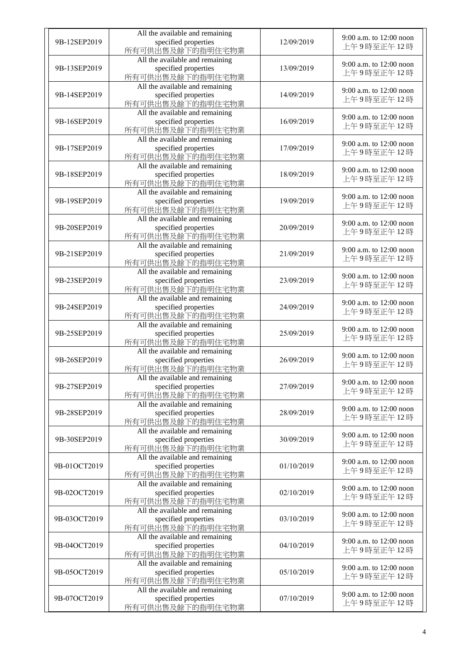| 9B-12SEP2019 | All the available and remaining<br>specified properties<br>所有可供出售及餘下的指明住宅物業 | 12/09/2019 | 9:00 a.m. to 12:00 noon<br>上午9時至正午12時 |
|--------------|-----------------------------------------------------------------------------|------------|---------------------------------------|
| 9B-13SEP2019 | All the available and remaining<br>specified properties<br>所有可供出售及餘下的指明住宅物業 | 13/09/2019 | 9:00 a.m. to 12:00 noon<br>上午9時至正午12時 |
| 9B-14SEP2019 | All the available and remaining<br>specified properties<br>所有可供出售及餘下的指明住宅物業 | 14/09/2019 | 9:00 a.m. to 12:00 noon<br>上午9時至正午12時 |
| 9B-16SEP2019 | All the available and remaining<br>specified properties<br>所有可供出售及餘下的指明住宅物業 | 16/09/2019 | 9:00 a.m. to 12:00 noon<br>上午9時至正午12時 |
| 9B-17SEP2019 | All the available and remaining<br>specified properties<br>所有可供出售及餘下的指明住宅物業 | 17/09/2019 | 9:00 a.m. to 12:00 noon<br>上午9時至正午12時 |
| 9B-18SEP2019 | All the available and remaining<br>specified properties<br>所有可供出售及餘下的指明住宅物業 | 18/09/2019 | 9:00 a.m. to 12:00 noon<br>上午9時至正午12時 |
| 9B-19SEP2019 | All the available and remaining<br>specified properties<br>所有可供出售及餘下的指明住宅物業 | 19/09/2019 | 9:00 a.m. to 12:00 noon<br>上午9時至正午12時 |
| 9B-20SEP2019 | All the available and remaining<br>specified properties<br>所有可供出售及餘下的指明住宅物業 | 20/09/2019 | 9:00 a.m. to 12:00 noon<br>上午9時至正午12時 |
| 9B-21SEP2019 | All the available and remaining<br>specified properties<br>所有可供出售及餘下的指明住宅物業 | 21/09/2019 | 9:00 a.m. to 12:00 noon<br>上午9時至正午12時 |
| 9B-23SEP2019 | All the available and remaining<br>specified properties<br>所有可供出售及餘下的指明住宅物業 | 23/09/2019 | 9:00 a.m. to 12:00 noon<br>上午9時至正午12時 |
| 9B-24SEP2019 | All the available and remaining<br>specified properties<br>所有可供出售及餘下的指明住宅物業 | 24/09/2019 | 9:00 a.m. to 12:00 noon<br>上午9時至正午12時 |
| 9B-25SEP2019 | All the available and remaining<br>specified properties<br>所有可供出售及餘下的指明住宅物業 | 25/09/2019 | 9:00 a.m. to 12:00 noon<br>上午9時至正午12時 |
| 9B-26SEP2019 | All the available and remaining<br>specified properties<br>所有可供出售及餘下的指明住宅物業 | 26/09/2019 | 9:00 a.m. to 12:00 noon<br>上午9時至正午12時 |
| 9B-27SEP2019 | All the available and remaining<br>specified properties<br>所有可供出售及餘下的指明住宅物業 | 27/09/2019 | 9:00 a.m. to 12:00 noon<br>上午9時至正午12時 |
| 9B-28SEP2019 | All the available and remaining<br>specified properties<br>所有可供出售及餘下的指明住宅物業 | 28/09/2019 | 9:00 a.m. to 12:00 noon<br>上午9時至正午12時 |
| 9B-30SEP2019 | All the available and remaining<br>specified properties<br>所有可供出售及餘下的指明住宅物業 | 30/09/2019 | 9:00 a.m. to 12:00 noon<br>上午9時至正午12時 |
| 9B-01OCT2019 | All the available and remaining<br>specified properties<br>所有可供出售及餘下的指明住宅物業 | 01/10/2019 | 9:00 a.m. to 12:00 noon<br>上午9時至正午12時 |
| 9B-02OCT2019 | All the available and remaining<br>specified properties<br>所有可供出售及餘下的指明住宅物業 | 02/10/2019 | 9:00 a.m. to 12:00 noon<br>上午9時至正午12時 |
| 9B-03OCT2019 | All the available and remaining<br>specified properties<br>所有可供出售及餘下的指明住宅物業 | 03/10/2019 | 9:00 a.m. to 12:00 noon<br>上午9時至正午12時 |
| 9B-04OCT2019 | All the available and remaining<br>specified properties<br>所有可供出售及餘下的指明住宅物業 | 04/10/2019 | 9:00 a.m. to 12:00 noon<br>上午9時至正午12時 |
| 9B-05OCT2019 | All the available and remaining<br>specified properties<br>所有可供出售及餘下的指明住宅物業 | 05/10/2019 | 9:00 a.m. to 12:00 noon<br>上午9時至正午12時 |
| 9B-07OCT2019 | All the available and remaining<br>specified properties<br>所有可供出售及餘下的指明住宅物業 | 07/10/2019 | 9:00 a.m. to 12:00 noon<br>上午9時至正午12時 |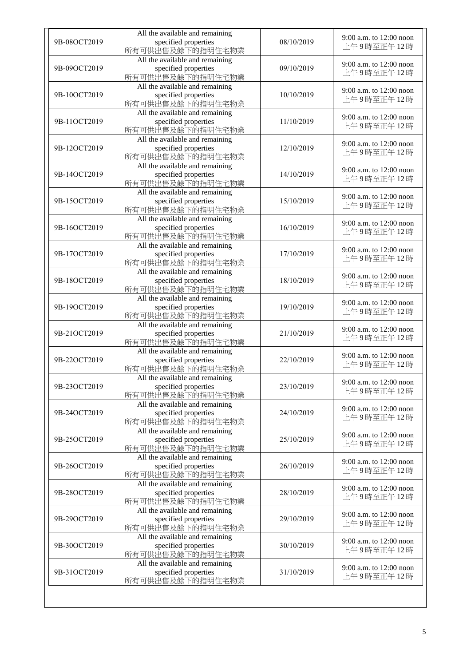| 9B-08OCT2019 | All the available and remaining<br>specified properties<br>所有可供出售及餘下的指明住宅物業 | 08/10/2019 | 9:00 a.m. to 12:00 noon<br>上午9時至正午12時 |
|--------------|-----------------------------------------------------------------------------|------------|---------------------------------------|
| 9B-09OCT2019 | All the available and remaining<br>specified properties<br>所有可供出售及餘下的指明住宅物業 | 09/10/2019 | 9:00 a.m. to 12:00 noon<br>上午9時至正午12時 |
| 9B-10OCT2019 | All the available and remaining<br>specified properties<br>所有可供出售及餘下的指明住宅物業 | 10/10/2019 | 9:00 a.m. to 12:00 noon<br>上午9時至正午12時 |
| 9B-11OCT2019 | All the available and remaining<br>specified properties<br>所有可供出售及餘下的指明住宅物業 | 11/10/2019 | 9:00 a.m. to 12:00 noon<br>上午9時至正午12時 |
| 9B-12OCT2019 | All the available and remaining<br>specified properties<br>所有可供出售及餘下的指明住宅物業 | 12/10/2019 | 9:00 a.m. to 12:00 noon<br>上午9時至正午12時 |
| 9B-14OCT2019 | All the available and remaining<br>specified properties<br>所有可供出售及餘下的指明住宅物業 | 14/10/2019 | 9:00 a.m. to 12:00 noon<br>上午9時至正午12時 |
| 9B-15OCT2019 | All the available and remaining<br>specified properties<br>所有可供出售及餘下的指明住宅物業 | 15/10/2019 | 9:00 a.m. to 12:00 noon<br>上午9時至正午12時 |
| 9B-16OCT2019 | All the available and remaining<br>specified properties<br>所有可供出售及餘下的指明住宅物業 | 16/10/2019 | 9:00 a.m. to 12:00 noon<br>上午9時至正午12時 |
| 9B-17OCT2019 | All the available and remaining<br>specified properties<br>所有可供出售及餘下的指明住宅物業 | 17/10/2019 | 9:00 a.m. to 12:00 noon<br>上午9時至正午12時 |
| 9B-18OCT2019 | All the available and remaining<br>specified properties<br>所有可供出售及餘下的指明住宅物業 | 18/10/2019 | 9:00 a.m. to 12:00 noon<br>上午9時至正午12時 |
| 9B-19OCT2019 | All the available and remaining<br>specified properties<br>所有可供出售及餘下的指明住宅物業 | 19/10/2019 | 9:00 a.m. to 12:00 noon<br>上午9時至正午12時 |
| 9B-21OCT2019 | All the available and remaining<br>specified properties<br>所有可供出售及餘下的指明住宅物業 | 21/10/2019 | 9:00 a.m. to 12:00 noon<br>上午9時至正午12時 |
| 9B-22OCT2019 | All the available and remaining<br>specified properties<br>所有可供出售及餘下的指明住宅物業 | 22/10/2019 | 9:00 a.m. to 12:00 noon<br>上午9時至正午12時 |
| 9B-23OCT2019 | All the available and remaining<br>specified properties<br>所有可供出售及餘下的指明住宅物業 | 23/10/2019 | 9:00 a.m. to 12:00 noon<br>上午9時至正午12時 |
| 9B-24OCT2019 | All the available and remaining<br>specified properties<br>所有可供出售及餘下的指明住宅物業 | 24/10/2019 | 9:00 a.m. to 12:00 noon<br>上午9時至正午12時 |
| 9B-25OCT2019 | All the available and remaining<br>specified properties<br>所有可供出售及餘下的指明住宅物業 | 25/10/2019 | 9:00 a.m. to 12:00 noon<br>上午9時至正午12時 |
| 9B-26OCT2019 | All the available and remaining<br>specified properties<br>所有可供出售及餘下的指明住宅物業 | 26/10/2019 | 9:00 a.m. to 12:00 noon<br>上午9時至正午12時 |
| 9B-28OCT2019 | All the available and remaining<br>specified properties<br>所有可供出售及餘下的指明住宅物業 | 28/10/2019 | 9:00 a.m. to 12:00 noon<br>上午9時至正午12時 |
| 9B-29OCT2019 | All the available and remaining<br>specified properties<br>所有可供出售及餘下的指明住宅物業 | 29/10/2019 | 9:00 a.m. to 12:00 noon<br>上午9時至正午12時 |
| 9B-30OCT2019 | All the available and remaining<br>specified properties<br>所有可供出售及餘下的指明住宅物業 | 30/10/2019 | 9:00 a.m. to 12:00 noon<br>上午9時至正午12時 |
| 9B-31OCT2019 | All the available and remaining<br>specified properties<br>所有可供出售及餘下的指明住宅物業 | 31/10/2019 | 9:00 a.m. to 12:00 noon<br>上午9時至正午12時 |